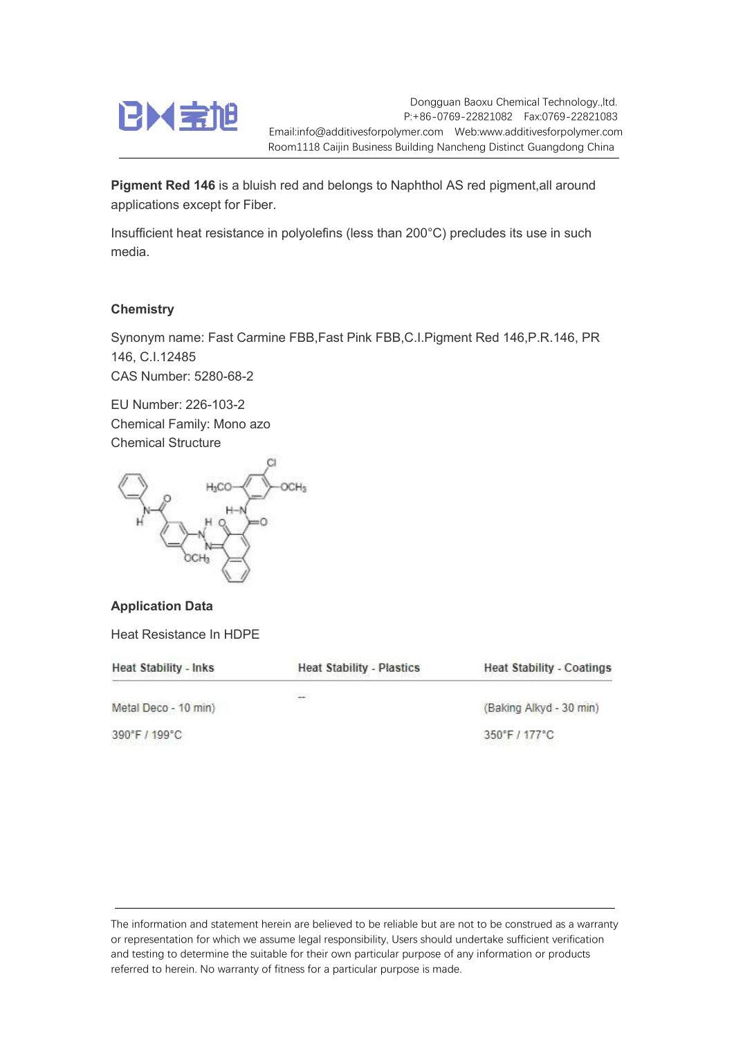

Dongguan Baoxu Chemical Technology.,ltd. P:+86-0769-22821082 Fax:0769-22821083 Email:info@additivesforpolymer.com Web:www.additivesforpolymer.com Room1118 Caijin Business Building Nancheng Distinct Guangdong China

Pigment Red 146 is a bluish red and belongs to Naphthol AS red pigment,all around applications except for Fiber.

Insufficient heat resistance in polyolefins (less than 200°C) precludes its use in such media.

## **Chemistry**

Synonym name: Fast Carmine FBB,Fast Pink FBB,C.I.Pigment Red 146,P.R.146, PR 146, C.I.12485 CAS Number: 5280-68-2

EU Number: 226-103-2 Chemical Family: Mono azo Chemical Structure



## Application Data

Heat Resistance In HDPE

| <b>Heat Stability - Inks</b> | <b>Heat Stability - Plastics</b>                    | <b>Heat Stability - Coatings</b> |  |
|------------------------------|-----------------------------------------------------|----------------------------------|--|
| Metal Deco - 10 min)         | $\overline{\phantom{m}}$<br>(Baking Alkyd - 30 min) |                                  |  |
| 390°F / 199°C                |                                                     | 350°F / 177°C                    |  |

The information and statement herein are believed to be reliable but are not to be construed as a warranty or representation for which we assume legal responsibility, Users should undertake sufficient verification and testing to determine the suitable for their own particular purpose of any information or products referred to herein. No warranty of fitness for a particular purpose is made.